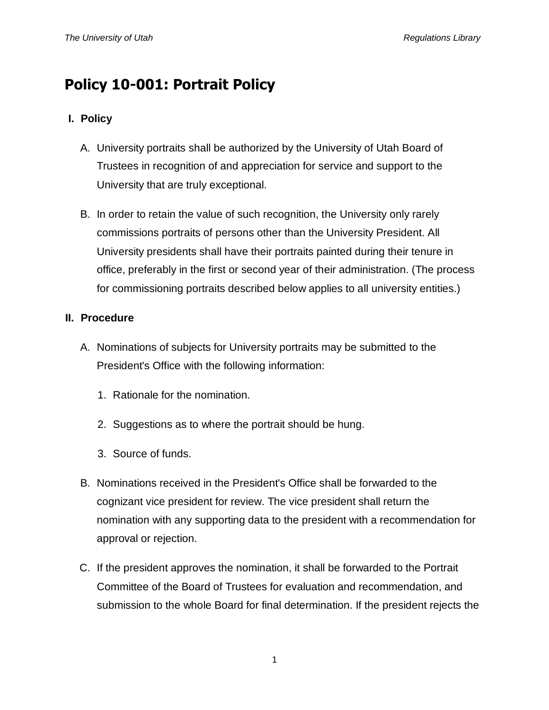## **Policy 10-001: Portrait Policy**

## **I. Policy**

- A. University portraits shall be authorized by the University of Utah Board of Trustees in recognition of and appreciation for service and support to the University that are truly exceptional.
- B. In order to retain the value of such recognition, the University only rarely commissions portraits of persons other than the University President. All University presidents shall have their portraits painted during their tenure in office, preferably in the first or second year of their administration. (The process for commissioning portraits described below applies to all university entities.)

## **II. Procedure**

- A. Nominations of subjects for University portraits may be submitted to the President's Office with the following information:
	- 1. Rationale for the nomination.
	- 2. Suggestions as to where the portrait should be hung.
	- 3. Source of funds.
- B. Nominations received in the President's Office shall be forwarded to the cognizant vice president for review. The vice president shall return the nomination with any supporting data to the president with a recommendation for approval or rejection.
- C. If the president approves the nomination, it shall be forwarded to the Portrait Committee of the Board of Trustees for evaluation and recommendation, and submission to the whole Board for final determination. If the president rejects the